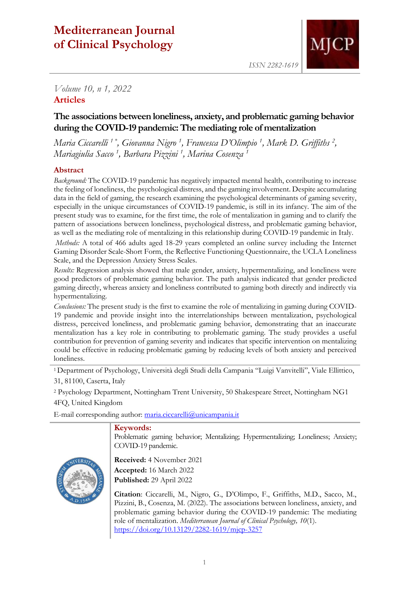# **Mediterranean Journal of Clinical Psychology**



*ISSN 2282-1619*

# *Volume 10, n 1, 2022* **Articles**

# **The associations between loneliness, anxiety, and problematic gaming behavior during the COVID-19 pandemic: The mediating role of mentalization**

*Maria Ciccarelli <sup>1</sup> \* , Giovanna Nigro <sup>1</sup> , Francesca D'Olimpio <sup>1</sup> , Mark D. Griffiths <sup>2</sup> , Mariagiulia Sacco <sup>1</sup> , Barbara Pizzini <sup>1</sup> , Marina Cosenza <sup>1</sup>*

# **Abstract**

*Background:* The COVID-19 pandemic has negatively impacted mental health, contributing to increase the feeling of loneliness, the psychological distress, and the gaming involvement. Despite accumulating data in the field of gaming, the research examining the psychological determinants of gaming severity, especially in the unique circumstances of COVID-19 pandemic, is still in its infancy. The aim of the present study was to examine, for the first time, the role of mentalization in gaming and to clarify the pattern of associations between loneliness, psychological distress, and problematic gaming behavior, as well as the mediating role of mentalizing in this relationship during COVID-19 pandemic in Italy.

*Methods:* A total of 466 adults aged 18-29 years completed an online survey including the Internet Gaming Disorder Scale-Short Form, the Reflective Functioning Questionnaire, the UCLA Loneliness Scale, and the Depression Anxiety Stress Scales.

*Results:* Regression analysis showed that male gender, anxiety, hypermentalizing, and loneliness were good predictors of problematic gaming behavior. The path analysis indicated that gender predicted gaming directly, whereas anxiety and loneliness contributed to gaming both directly and indirectly via hypermentalizing.

*Conclusions:* The present study is the first to examine the role of mentalizing in gaming during COVID-19 pandemic and provide insight into the interrelationships between mentalization, psychological distress, perceived loneliness, and problematic gaming behavior, demonstrating that an inaccurate mentalization has a key role in contributing to problematic gaming. The study provides a useful contribution for prevention of gaming severity and indicates that specific intervention on mentalizing could be effective in reducing problematic gaming by reducing levels of both anxiety and perceived loneliness.

<sup>1</sup>Department of Psychology, Università degli Studi della Campania "Luigi Vanvitelli", Viale Ellittico, 31, 81100, Caserta, Italy

<sup>2</sup> Psychology Department, Nottingham Trent University, 50 Shakespeare Street, Nottingham NG1 4FQ, United Kingdom

E-mail corresponding author: [maria.ciccarelli@unicampania.it](mailto:maria.ciccarelli@unicampania.it)

# **Keywords:**

Problematic gaming behavior; Mentalizing; Hypermentalizing; Loneliness; Anxiety; COVID-19 pandemic.



**Received:** 4 November 2021 **Accepted:** 16 March 2022 **Published:** 29 April 2022

**Citation**: Ciccarelli, M., Nigro, G., D'Olimpo, F., Griffiths, M.D., Sacco, M., Pizzini, B., Cosenza, M. (2022). The associations between loneliness, anxiety, and problematic gaming behavior during the COVID-19 pandemic: The mediating role of mentalization. *Mediterranean Journal of Clinical Psychology, 10*(1). <https://doi.org/10.13129/2282-1619/mjcp-3257>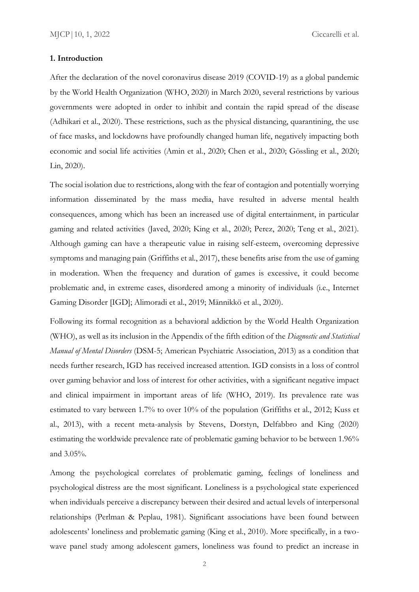### **1. Introduction**

After the declaration of the novel coronavirus disease 2019 (COVID-19) as a global pandemic by the World Health Organization (WHO, 2020) in March 2020, several restrictions by various governments were adopted in order to inhibit and contain the rapid spread of the disease (Adhikari et al., 2020). These restrictions, such as the physical distancing, quarantining, the use of face masks, and lockdowns have profoundly changed human life, negatively impacting both economic and social life activities (Amin et al., 2020; Chen et al., 2020; Gössling et al., 2020; Lin, 2020).

The social isolation due to restrictions, along with the fear of contagion and potentially worrying information disseminated by the mass media, have resulted in adverse mental health consequences, among which has been an increased use of digital entertainment, in particular gaming and related activities (Javed, 2020; King et al., 2020; Perez, 2020; Teng et al., 2021). Although gaming can have a therapeutic value in raising self-esteem, overcoming depressive symptoms and managing pain (Griffiths et al., 2017), these benefits arise from the use of gaming in moderation. When the frequency and duration of games is excessive, it could become problematic and, in extreme cases, disordered among a minority of individuals (i.e., Internet Gaming Disorder [IGD]; Alimoradi et al., 2019; Männikkö et al., 2020).

Following its formal recognition as a behavioral addiction by the World Health Organization (WHO), as well as its inclusion in the Appendix of the fifth edition of the *Diagnostic and Statistical Manual of Mental Disorders* (DSM-5; American Psychiatric Association, 2013) as a condition that needs further research, IGD has received increased attention. IGD consists in a loss of control over gaming behavior and loss of interest for other activities, with a significant negative impact and clinical impairment in important areas of life (WHO, 2019). Its prevalence rate was estimated to vary between 1.7% to over 10% of the population (Griffiths et al., 2012; Kuss et al., 2013), with a recent meta-analysis by Stevens, Dorstyn, Delfabbro and King (2020) estimating the worldwide prevalence rate of problematic gaming behavior to be between 1.96% and 3.05%.

Among the psychological correlates of problematic gaming, feelings of loneliness and psychological distress are the most significant. Loneliness is a psychological state experienced when individuals perceive a discrepancy between their desired and actual levels of interpersonal relationships (Perlman & Peplau, 1981). Significant associations have been found between adolescents' loneliness and problematic gaming (King et al., 2010). More specifically, in a twowave panel study among adolescent gamers, loneliness was found to predict an increase in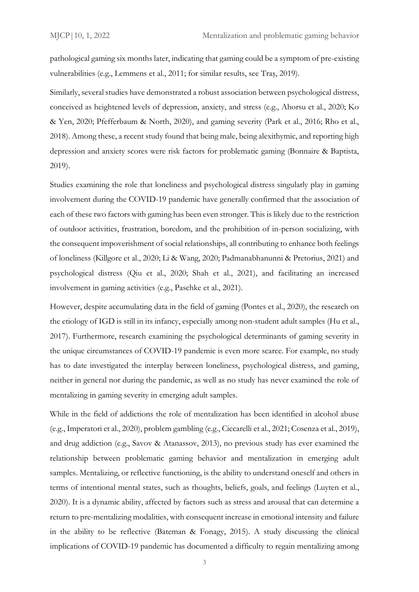pathological gaming six months later, indicating that gaming could be a symptom of pre-existing vulnerabilities (e.g., Lemmens et al., 2011; for similar results, see Traş, 2019).

Similarly, several studies have demonstrated a robust association between psychological distress, conceived as heightened levels of depression, anxiety, and stress (e.g., Ahorsu et al., 2020; Ko & Yen, 2020; Pfefferbaum & North, 2020), and gaming severity (Park et al., 2016; Rho et al., 2018). Among these, a recent study found that being male, being alexithymic, and reporting high depression and anxiety scores were risk factors for problematic gaming (Bonnaire & Baptista, 2019).

Studies examining the role that loneliness and psychological distress singularly play in gaming involvement during the COVID-19 pandemic have generally confirmed that the association of each of these two factors with gaming has been even stronger. This is likely due to the restriction of outdoor activities, frustration, boredom, and the prohibition of in-person socializing, with the consequent impoverishment of social relationships, all contributing to enhance both feelings of loneliness (Killgore et al., 2020; Li & Wang, 2020; Padmanabhanunni & Pretorius, 2021) and psychological distress (Qiu et al., 2020; Shah et al., 2021), and facilitating an increased involvement in gaming activities (e.g., Paschke et al., 2021).

However, despite accumulating data in the field of gaming (Pontes et al., 2020), the research on the etiology of IGD is still in its infancy, especially among non-student adult samples (Hu et al., 2017). Furthermore, research examining the psychological determinants of gaming severity in the unique circumstances of COVID-19 pandemic is even more scarce. For example, no study has to date investigated the interplay between loneliness, psychological distress, and gaming, neither in general nor during the pandemic, as well as no study has never examined the role of mentalizing in gaming severity in emerging adult samples.

While in the field of addictions the role of mentalization has been identified in alcohol abuse (e.g., Imperatori et al., 2020), problem gambling (e.g., Ciccarelli et al., 2021; Cosenza et al., 2019), and drug addiction (e.g., Savov & Atanassov, 2013), no previous study has ever examined the relationship between problematic gaming behavior and mentalization in emerging adult samples. Mentalizing, or reflective functioning, is the ability to understand oneself and others in terms of intentional mental states, such as thoughts, beliefs, goals, and feelings (Luyten et al., 2020). It is a dynamic ability, affected by factors such as stress and arousal that can determine a return to pre-mentalizing modalities, with consequent increase in emotional intensity and failure in the ability to be reflective (Bateman & Fonagy, 2015). A study discussing the clinical implications of COVID-19 pandemic has documented a difficulty to regain mentalizing among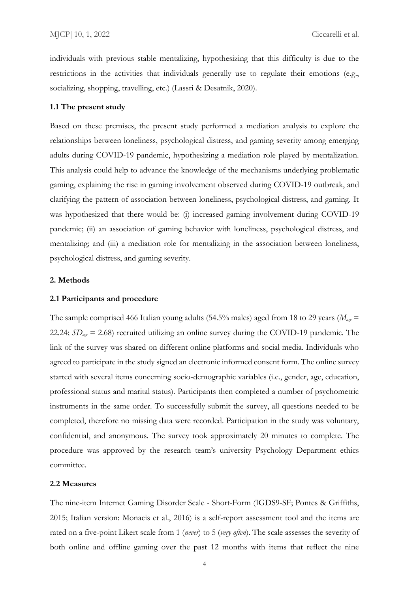individuals with previous stable mentalizing, hypothesizing that this difficulty is due to the restrictions in the activities that individuals generally use to regulate their emotions (e.g., socializing, shopping, travelling, etc.) (Lassri & Desatnik, 2020).

#### **1.1 The present study**

Based on these premises, the present study performed a mediation analysis to explore the relationships between loneliness, psychological distress, and gaming severity among emerging adults during COVID-19 pandemic, hypothesizing a mediation role played by mentalization. This analysis could help to advance the knowledge of the mechanisms underlying problematic gaming, explaining the rise in gaming involvement observed during COVID-19 outbreak, and clarifying the pattern of association between loneliness, psychological distress, and gaming. It was hypothesized that there would be: (i) increased gaming involvement during COVID-19 pandemic; (ii) an association of gaming behavior with loneliness, psychological distress, and mentalizing; and (iii) a mediation role for mentalizing in the association between loneliness, psychological distress, and gaming severity.

## **2. Methods**

#### **2.1 Participants and procedure**

The sample comprised 466 Italian young adults (54.5% males) aged from 18 to 29 years (*Mage* = 22.24; *SDage* = 2.68) recruited utilizing an online survey during the COVID-19 pandemic. The link of the survey was shared on different online platforms and social media. Individuals who agreed to participate in the study signed an electronic informed consent form. The online survey started with several items concerning socio-demographic variables (i.e., gender, age, education, professional status and marital status). Participants then completed a number of psychometric instruments in the same order. To successfully submit the survey, all questions needed to be completed, therefore no missing data were recorded. Participation in the study was voluntary, confidential, and anonymous. The survey took approximately 20 minutes to complete. The procedure was approved by the research team's university Psychology Department ethics committee.

### **2.2 Measures**

The nine-item Internet Gaming Disorder Scale - Short-Form (IGDS9-SF; Pontes & Griffiths, 2015; Italian version: Monacis et al., 2016) is a self-report assessment tool and the items are rated on a five-point Likert scale from 1 (*never*) to 5 (*very often*). The scale assesses the severity of both online and offline gaming over the past 12 months with items that reflect the nine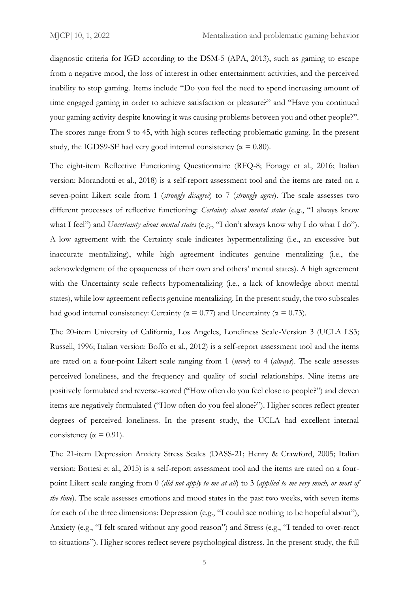diagnostic criteria for IGD according to the DSM-5 (APA, 2013), such as gaming to escape from a negative mood, the loss of interest in other entertainment activities, and the perceived inability to stop gaming. Items include "Do you feel the need to spend increasing amount of time engaged gaming in order to achieve satisfaction or pleasure?" and "Have you continued your gaming activity despite knowing it was causing problems between you and other people?". The scores range from 9 to 45, with high scores reflecting problematic gaming. In the present study, the IGDS9-SF had very good internal consistency ( $\alpha = 0.80$ ).

The eight-item Reflective Functioning Questionnaire (RFQ-8; Fonagy et al., 2016; Italian version: Morandotti et al., 2018) is a self-report assessment tool and the items are rated on a seven-point Likert scale from 1 (*strongly disagree*) to 7 (*strongly agree*). The scale assesses two different processes of reflective functioning: *Certainty about mental states* (e.g., "I always know what I feel") and *Uncertainty about mental states* (e.g., "I don't always know why I do what I do"). A low agreement with the Certainty scale indicates hypermentalizing (i.e., an excessive but inaccurate mentalizing), while high agreement indicates genuine mentalizing (i.e., the acknowledgment of the opaqueness of their own and others' mental states). A high agreement with the Uncertainty scale reflects hypomentalizing (i.e., a lack of knowledge about mental states), while low agreement reflects genuine mentalizing. In the present study, the two subscales had good internal consistency: Certainty ( $\alpha = 0.77$ ) and Uncertainty ( $\alpha = 0.73$ ).

The 20-item University of California, Los Angeles, Loneliness Scale-Version 3 (UCLA LS3; Russell, 1996; Italian version: Boffo et al., 2012) is a self-report assessment tool and the items are rated on a four-point Likert scale ranging from 1 (*never*) to 4 (*always*). The scale assesses perceived loneliness, and the frequency and quality of social relationships. Nine items are positively formulated and reverse-scored ("How often do you feel close to people?") and eleven items are negatively formulated ("How often do you feel alone?"). Higher scores reflect greater degrees of perceived loneliness. In the present study, the UCLA had excellent internal consistency ( $\alpha = 0.91$ ).

The 21-item Depression Anxiety Stress Scales (DASS-21; Henry & Crawford, 2005; Italian version: Bottesi et al., 2015) is a self-report assessment tool and the items are rated on a fourpoint Likert scale ranging from 0 (*did not apply to me at all*) to 3 (*applied to me very much, or most of the time*). The scale assesses emotions and mood states in the past two weeks, with seven items for each of the three dimensions: Depression (e.g., "I could see nothing to be hopeful about"), Anxiety (e.g., "I felt scared without any good reason") and Stress (e.g., "I tended to over-react to situations"). Higher scores reflect severe psychological distress. In the present study, the full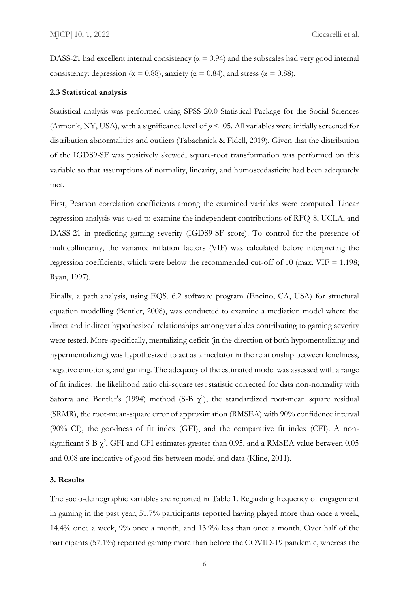DASS-21 had excellent internal consistency ( $\alpha$  = 0.94) and the subscales had very good internal consistency: depression ( $\alpha = 0.88$ ), anxiety ( $\alpha = 0.84$ ), and stress ( $\alpha = 0.88$ ).

#### **2.3 Statistical analysis**

Statistical analysis was performed using SPSS 20.0 Statistical Package for the Social Sciences (Armonk, NY, USA), with a significance level of  $p < .05$ . All variables were initially screened for distribution abnormalities and outliers (Tabachnick & Fidell, 2019). Given that the distribution of the IGDS9-SF was positively skewed, square-root transformation was performed on this variable so that assumptions of normality, linearity, and homoscedasticity had been adequately met.

First, Pearson correlation coefficients among the examined variables were computed. Linear regression analysis was used to examine the independent contributions of RFQ-8, UCLA, and DASS-21 in predicting gaming severity (IGDS9-SF score). To control for the presence of multicollinearity, the variance inflation factors (VIF) was calculated before interpreting the regression coefficients, which were below the recommended cut-off of 10 (max. VIF  $= 1.198$ ; Ryan, 1997).

Finally, a path analysis, using EQS. 6.2 software program (Encino, CA, USA) for structural equation modelling (Bentler, 2008), was conducted to examine a mediation model where the direct and indirect hypothesized relationships among variables contributing to gaming severity were tested. More specifically, mentalizing deficit (in the direction of both hypomentalizing and hypermentalizing) was hypothesized to act as a mediator in the relationship between loneliness, negative emotions, and gaming. The adequacy of the estimated model was assessed with a range of fit indices: the likelihood ratio chi-square test statistic corrected for data non-normality with Satorra and Bentler's (1994) method (S-B  $\chi^2$ ), the standardized root-mean square residual (SRMR), the root-mean-square error of approximation (RMSEA) with 90% confidence interval (90% CI), the goodness of fit index (GFI), and the comparative fit index (CFI). A nonsignificant S-B  $\chi^2$ , GFI and CFI estimates greater than 0.95, and a RMSEA value between 0.05 and 0.08 are indicative of good fits between model and data (Kline, 2011).

#### **3. Results**

The socio-demographic variables are reported in Table 1. Regarding frequency of engagement in gaming in the past year, 51.7% participants reported having played more than once a week, 14.4% once a week, 9% once a month, and 13.9% less than once a month. Over half of the participants (57.1%) reported gaming more than before the COVID-19 pandemic, whereas the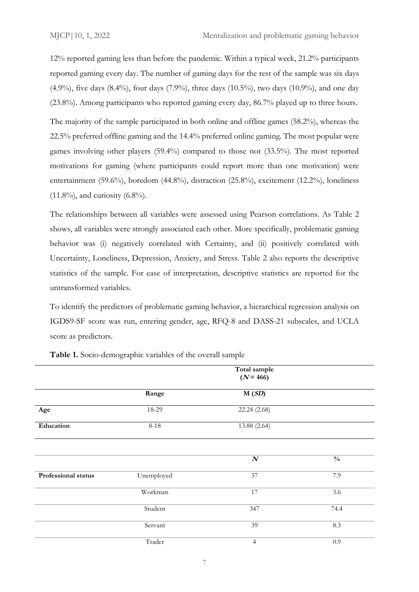12% reported gaming less than before the pandemic. Within a typical week, 21.2% participants reported gaming every day. The number of gaming days for the rest of the sample was six days (4.9%), five days (8.4%), four days (7.9%), three days (10.5%), two days (10.9%), and one day (23.8%). Among participants who reported gaming every day, 86.7% played up to three hours.

The majority of the sample participated in both online and offline games (58.2%), whereas the 22.5% preferred offline gaming and the 14.4% preferred online gaming. The most popular were games involving other players (59.4%) compared to those not (33.5%). The most reported motivations for gaming (where participants could report more than one motivation) were entertainment (59.6%), boredom (44.8%), distraction (25.8%), excitement (12.2%), loneliness  $(11.8\%)$ , and curiosity  $(6.8\%)$ .

The relationships between all variables were assessed using Pearson correlations. As Table 2 shows, all variables were strongly associated each other. More specifically, problematic gaming behavior was (i) negatively correlated with Certainty, and (ii) positively correlated with Uncertainty, Loneliness, Depression, Anxiety, and Stress. Table 2 also reports the descriptive statistics of the sample. For ease of interpretation, descriptive statistics are reported for the untransformed variables.

To identify the predictors of problematic gaming behavior, a hierarchical regression analysis on IGDS9-SF score was run, entering gender, age, RFQ-8 and DASS-21 subscales, and UCLA score as predictors.

|                     | Total sample<br>$(N = 466)$ |                  |               |  |
|---------------------|-----------------------------|------------------|---------------|--|
|                     |                             |                  |               |  |
|                     | Range                       | M(SD)            |               |  |
| Age                 | 18-29                       | 22.24 (2.68)     |               |  |
| Education           | $8 - 18$                    | 13.88 (2.64)     |               |  |
|                     |                             |                  |               |  |
|                     |                             | $\boldsymbol{N}$ | $\frac{0}{0}$ |  |
| Professional status | Unemployed                  | 37               | 7.9           |  |
|                     | Workman                     | 17               | 3.6           |  |
|                     | Student                     | 347              | 74.4          |  |
|                     | Servant                     | 39               | 8.3           |  |
|                     | Trader                      | $\overline{4}$   | 0.9           |  |

**Table 1.** Socio-demographic variables of the overall sample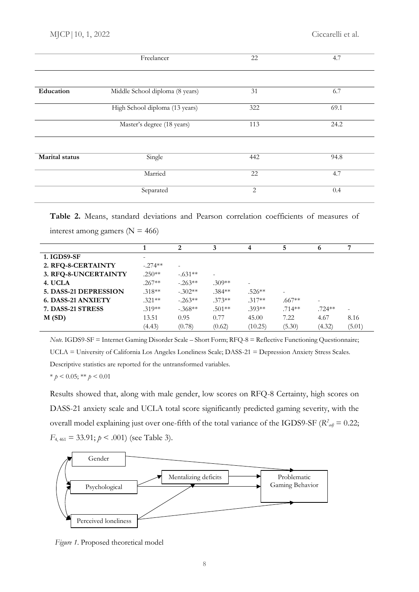|                       | Freelancer                      | 22  | 4.7  |  |
|-----------------------|---------------------------------|-----|------|--|
|                       |                                 |     |      |  |
| Education             | Middle School diploma (8 years) | 31  | 6.7  |  |
|                       | High School diploma (13 years)  | 322 | 69.1 |  |
|                       | Master's degree (18 years)      | 113 | 24.2 |  |
| <b>Marital</b> status | Single                          | 442 | 94.8 |  |
|                       | Married                         | 22  | 4.7  |  |
|                       | Separated                       | 2   | 0.4  |  |

**Table 2.** Means, standard deviations and Pearson correlation coefficients of measures of interest among gamers ( $N = 466$ )

|                           |           | 2         |          | 4                        | 5         | o                        | 7      |
|---------------------------|-----------|-----------|----------|--------------------------|-----------|--------------------------|--------|
| 1. IGDS9-SF               |           |           |          |                          |           |                          |        |
| 2. RFQ-8-CERTAINTY        | $-.274**$ |           |          |                          |           |                          |        |
| 3. RFQ-8-UNCERTAINTY      | $.250**$  | $-.631**$ |          |                          |           |                          |        |
| 4. UCLA                   | $.267**$  | $-.263**$ | $.309**$ | $\overline{\phantom{0}}$ |           |                          |        |
| 5. DASS-21 DEPRESSION     | $.318**$  | $-.302**$ | $.384**$ | $.526**$                 | -         |                          |        |
| <b>6. DASS-21 ANXIETY</b> | $.321**$  | $-.263**$ | $.373**$ | $.317**$                 | $.667**$  | $\overline{\phantom{a}}$ |        |
| 7. DASS-21 STRESS         | $.319**$  | $-.368**$ | $.501**$ | $.393**$                 | $.714***$ | $.724**$                 |        |
| M(SD)                     | 13.51     | 0.95      | 0.77     | 45.00                    | 7.22      | 4.67                     | 8.16   |
|                           | (4.43)    | (0.78)    | (0.62)   | (10.25)                  | (5.30)    | (4.32)                   | (5.01) |

*Note.* IGDS9-SF = Internet Gaming Disorder Scale – Short Form; RFQ-8 = Reflective Functioning Questionnaire; UCLA = University of California Los Angeles Loneliness Scale; DASS-21 = Depression Anxiety Stress Scales. Descriptive statistics are reported for the untransformed variables.

\* *p* < 0.05; \*\* *p* < 0.01

Results showed that, along with male gender, low scores on RFQ-8 Certainty, high scores on DASS-21 anxiety scale and UCLA total score significantly predicted gaming severity, with the overall model explaining just over one-fifth of the total variance of the IGDS9-SF ( $R^2_{adj}$  = 0.22;  $F_{4,461} = 33.91; p \le .001$  (see Table 3).



*Figure 1*. Proposed theoretical model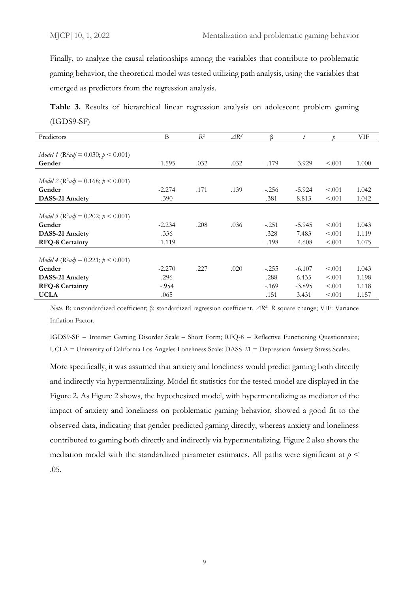Finally, to analyze the causal relationships among the variables that contribute to problematic gaming behavior, the theoretical model was tested utilizing path analysis, using the variables that emerged as predictors from the regression analysis.

**Table 3.** Results of hierarchical linear regression analysis on adolescent problem gaming (IGDS9-SF)

| Predictors                                          | B        | $R^2$ | $\triangle R^2$ | β       | t        | D       | VIF   |
|-----------------------------------------------------|----------|-------|-----------------|---------|----------|---------|-------|
|                                                     |          |       |                 |         |          |         |       |
| Model 1 ( $\mathbb{R}^2$ adj = 0.030; $p < 0.001$ ) |          |       |                 |         |          |         |       |
| Gender                                              | $-1.595$ | .032  | .032            | $-179$  | $-3.929$ | < .001  | 1.000 |
|                                                     |          |       |                 |         |          |         |       |
| Model 2 ( $\mathbb{R}^2$ adj = 0.168; $p < 0.001$ ) |          |       |                 |         |          |         |       |
| Gender                                              | $-2.274$ | .171  | .139            | $-.256$ | $-5.924$ | < 0.001 | 1.042 |
| <b>DASS-21 Anxiety</b>                              | .390     |       |                 | .381    | 8.813    | < 0.001 | 1.042 |
|                                                     |          |       |                 |         |          |         |       |
| Model 3 ( $\mathbb{R}^2$ adj = 0.202; $p < 0.001$ ) |          |       |                 |         |          |         |       |
| Gender                                              | $-2.234$ | .208  | .036            | $-.251$ | $-5.945$ | < 0.001 | 1.043 |
| <b>DASS-21 Anxiety</b>                              | .336     |       |                 | .328    | 7.483    | < 0.001 | 1.119 |
| <b>RFQ-8 Certainty</b>                              | $-1.119$ |       |                 | $-.198$ | $-4.608$ | < 0.001 | 1.075 |
|                                                     |          |       |                 |         |          |         |       |
| $Model 4 (R2adj = 0.221; p < 0.001)$                |          |       |                 |         |          |         |       |
| Gender                                              | $-2.270$ | .227  | .020            | $-.255$ | $-6.107$ | < 0.001 | 1.043 |
| <b>DASS-21 Anxiety</b>                              | .296     |       |                 | .288    | 6.435    | < 0.001 | 1.198 |
| <b>RFQ-8 Certainty</b>                              | $-.954$  |       |                 | $-169$  | $-3.895$ | < 0.001 | 1.118 |
| <b>UCLA</b>                                         | .065     |       |                 | .151    | 3.431    | < 0.001 | 1.157 |

*Note*. B: unstandardized coefficient; β: standardized regression coefficient. *ΔR<sup>2</sup>* : *R* square change; VIF: Variance Inflation Factor.

IGDS9-SF = Internet Gaming Disorder Scale – Short Form; RFQ-8 = Reflective Functioning Questionnaire; UCLA = University of California Los Angeles Loneliness Scale; DASS-21 = Depression Anxiety Stress Scales.

More specifically, it was assumed that anxiety and loneliness would predict gaming both directly and indirectly via hypermentalizing. Model fit statistics for the tested model are displayed in the Figure 2. As Figure 2 shows, the hypothesized model, with hypermentalizing as mediator of the impact of anxiety and loneliness on problematic gaming behavior, showed a good fit to the observed data, indicating that gender predicted gaming directly, whereas anxiety and loneliness contributed to gaming both directly and indirectly via hypermentalizing. Figure 2 also shows the mediation model with the standardized parameter estimates. All paths were significant at  $p <$ .05.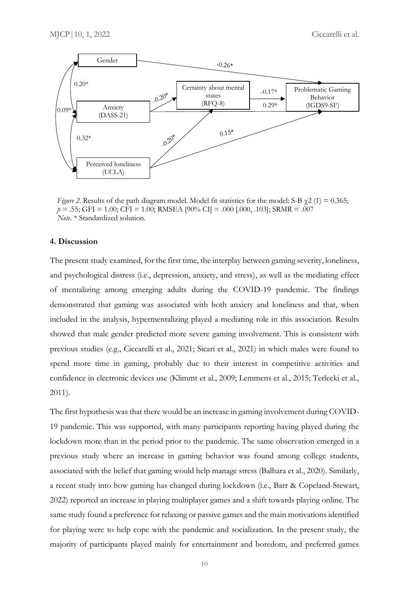

*Figure 2.* Results of the path diagram model. Model fit statistics for the model: S-B  $\gamma$ 2 (1) = 0.365; *p* = .55; GFI = 1.00; CFI = 1.00; RMSEA [90% CI] = .000 [.000, .103]; SRMR = .007 *Note.* \* Standardized solution.

# **4. Discussion**

The present study examined, for the first time, the interplay between gaming severity, loneliness, and psychological distress (i.e., depression, anxiety, and stress), as well as the mediating effect of mentalizing among emerging adults during the COVID-19 pandemic. The findings demonstrated that gaming was associated with both anxiety and loneliness and that, when included in the analysis, hypermentalizing played a mediating role in this association. Results showed that male gender predicted more severe gaming involvement. This is consistent with previous studies (e.g., Ciccarelli et al., 2021; Sicari et al., 2021) in which males were found to spend more time in gaming, probably due to their interest in competitive activities and confidence in electronic devices use (Klimmt et al., 2009; Lemmens et al., 2015; Terlecki et al., 2011).

The first hypothesis was that there would be an increase in gaming involvement during COVID-19 pandemic. This was supported, with many participants reporting having played during the lockdown more than in the period prior to the pandemic. The same observation emerged in a previous study where an increase in gaming behavior was found among college students, associated with the belief that gaming would help manage stress (Balhara et al., 2020). Similarly, a recent study into how gaming has changed during lockdown (i.e., Barr & Copeland-Stewart, 2022) reported an increase in playing multiplayer games and a shift towards playing online. The same study found a preference for relaxing or passive games and the main motivations identified for playing were to help cope with the pandemic and socialization. In the present study, the majority of participants played mainly for entertainment and boredom, and preferred games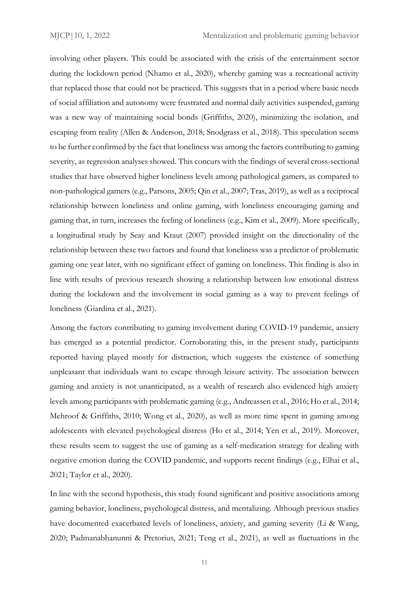involving other players. This could be associated with the crisis of the entertainment sector during the lockdown period (Nhamo et al., 2020), whereby gaming was a recreational activity that replaced those that could not be practiced. This suggests that in a period where basic needs of social affiliation and autonomy were frustrated and normal daily activities suspended, gaming was a new way of maintaining social bonds (Griffiths, 2020), minimizing the isolation, and escaping from reality (Allen & Anderson, 2018; Snodgrass et al., 2018). This speculation seems to be further confirmed by the fact that loneliness was among the factors contributing to gaming severity, as regression analyses showed. This concurs with the findings of several cross-sectional studies that have observed higher loneliness levels among pathological gamers, as compared to non-pathological gamers (e.g., Parsons, 2005; Qin et al., 2007; Tras, 2019), as well as a reciprocal relationship between loneliness and online gaming, with loneliness encouraging gaming and gaming that, in turn, increases the feeling of loneliness (e.g., Kim et al., 2009). More specifically, a longitudinal study by Seay and Kraut (2007) provided insight on the directionality of the relationship between these two factors and found that loneliness was a predictor of problematic gaming one year later, with no significant effect of gaming on loneliness. This finding is also in line with results of previous research showing a relationship between low emotional distress during the lockdown and the involvement in social gaming as a way to prevent feelings of loneliness (Giardina et al., 2021).

Among the factors contributing to gaming involvement during COVID-19 pandemic, anxiety has emerged as a potential predictor. Corroborating this, in the present study, participants reported having played mostly for distraction, which suggests the existence of something unpleasant that individuals want to escape through leisure activity. The association between gaming and anxiety is not unanticipated, as a wealth of research also evidenced high anxiety levels among participants with problematic gaming (e.g., Andreassen et al., 2016; Ho et al., 2014; Mehroof & Griffiths, 2010; Wong et al., 2020), as well as more time spent in gaming among adolescents with elevated psychological distress (Ho et al., 2014; Yen et al., 2019). Moreover, these results seem to suggest the use of gaming as a self-medication strategy for dealing with negative emotion during the COVID pandemic, and supports recent findings (e.g., Elhai et al., 2021; Taylor et al., 2020).

In line with the second hypothesis, this study found significant and positive associations among gaming behavior, loneliness, psychological distress, and mentalizing. Although previous studies have documented exacerbated levels of loneliness, anxiety, and gaming severity (Li & Wang, 2020; Padmanabhanunni & Pretorius, 2021; Teng et al., 2021), as well as fluctuations in the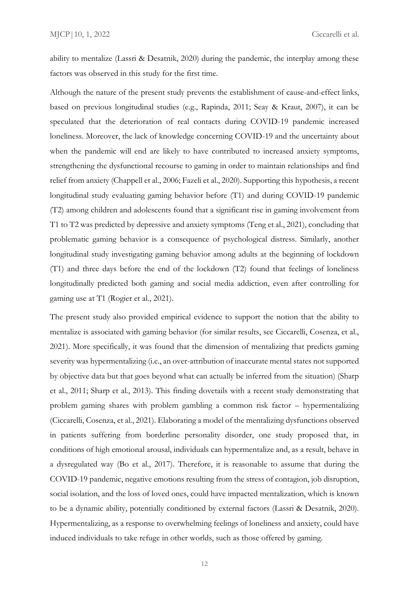ability to mentalize (Lassri & Desatnik, 2020) during the pandemic, the interplay among these factors was observed in this study for the first time.

Although the nature of the present study prevents the establishment of cause-and-effect links, based on previous longitudinal studies (e.g., Rapinda, 2011; Seay & Kraut, 2007), it can be speculated that the deterioration of real contacts during COVID-19 pandemic increased loneliness. Moreover, the lack of knowledge concerning COVID-19 and the uncertainty about when the pandemic will end are likely to have contributed to increased anxiety symptoms, strengthening the dysfunctional recourse to gaming in order to maintain relationships and find relief from anxiety (Chappell et al., 2006; Fazeli et al., 2020). Supporting this hypothesis, a recent longitudinal study evaluating gaming behavior before (T1) and during COVID-19 pandemic (T2) among children and adolescents found that a significant rise in gaming involvement from T1 to T2 was predicted by depressive and anxiety symptoms (Teng et al., 2021), concluding that problematic gaming behavior is a consequence of psychological distress. Similarly, another longitudinal study investigating gaming behavior among adults at the beginning of lockdown (T1) and three days before the end of the lockdown (T2) found that feelings of loneliness longitudinally predicted both gaming and social media addiction, even after controlling for gaming use at T1 (Rogier et al., 2021).

The present study also provided empirical evidence to support the notion that the ability to mentalize is associated with gaming behavior (for similar results, see Ciccarelli, Cosenza, et al., 2021). More specifically, it was found that the dimension of mentalizing that predicts gaming severity was hypermentalizing (i.e., an over-attribution of inaccurate mental states not supported by objective data but that goes beyond what can actually be inferred from the situation) (Sharp et al., 2011; Sharp et al., 2013). This finding dovetails with a recent study demonstrating that problem gaming shares with problem gambling a common risk factor – hypermentalizing (Ciccarelli, Cosenza, et al., 2021). Elaborating a model of the mentalizing dysfunctions observed in patients suffering from borderline personality disorder, one study proposed that, in conditions of high emotional arousal, individuals can hypermentalize and, as a result, behave in a dysregulated way (Bo et al., 2017). Therefore, it is reasonable to assume that during the COVID-19 pandemic, negative emotions resulting from the stress of contagion, job disruption, social isolation, and the loss of loved ones, could have impacted mentalization, which is known to be a dynamic ability, potentially conditioned by external factors (Lassri & Desatnik, 2020). Hypermentalizing, as a response to overwhelming feelings of loneliness and anxiety, could have induced individuals to take refuge in other worlds, such as those offered by gaming.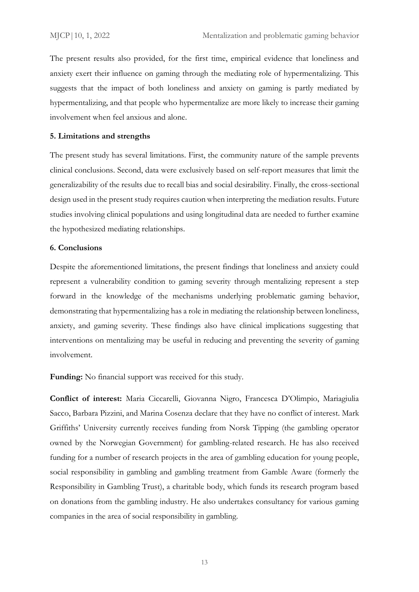The present results also provided, for the first time, empirical evidence that loneliness and anxiety exert their influence on gaming through the mediating role of hypermentalizing. This suggests that the impact of both loneliness and anxiety on gaming is partly mediated by hypermentalizing, and that people who hypermentalize are more likely to increase their gaming involvement when feel anxious and alone.

## **5. Limitations and strengths**

The present study has several limitations. First, the community nature of the sample prevents clinical conclusions. Second, data were exclusively based on self-report measures that limit the generalizability of the results due to recall bias and social desirability. Finally, the cross-sectional design used in the present study requires caution when interpreting the mediation results. Future studies involving clinical populations and using longitudinal data are needed to further examine the hypothesized mediating relationships.

## **6. Conclusions**

Despite the aforementioned limitations, the present findings that loneliness and anxiety could represent a vulnerability condition to gaming severity through mentalizing represent a step forward in the knowledge of the mechanisms underlying problematic gaming behavior, demonstrating that hypermentalizing has a role in mediating the relationship between loneliness, anxiety, and gaming severity. These findings also have clinical implications suggesting that interventions on mentalizing may be useful in reducing and preventing the severity of gaming involvement.

**Funding:** No financial support was received for this study.

**Conflict of interest:** Maria Ciccarelli, Giovanna Nigro, Francesca D'Olimpio, Mariagiulia Sacco, Barbara Pizzini, and Marina Cosenza declare that they have no conflict of interest. Mark Griffiths' University currently receives funding from Norsk Tipping (the gambling operator owned by the Norwegian Government) for gambling-related research. He has also received funding for a number of research projects in the area of gambling education for young people, social responsibility in gambling and gambling treatment from Gamble Aware (formerly the Responsibility in Gambling Trust), a charitable body, which funds its research program based on donations from the gambling industry. He also undertakes consultancy for various gaming companies in the area of social responsibility in gambling.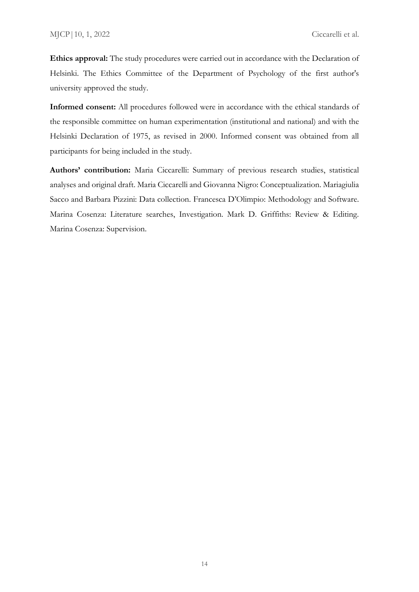**Ethics approval:** The study procedures were carried out in accordance with the Declaration of Helsinki. The Ethics Committee of the Department of Psychology of the first author's university approved the study.

**Informed consent:** All procedures followed were in accordance with the ethical standards of the responsible committee on human experimentation (institutional and national) and with the Helsinki Declaration of 1975, as revised in 2000. Informed consent was obtained from all participants for being included in the study.

**Authors' contribution:** Maria Ciccarelli: Summary of previous research studies, statistical analyses and original draft. Maria Ciccarelli and Giovanna Nigro: Conceptualization. Mariagiulia Sacco and Barbara Pizzini: Data collection. Francesca D'Olimpio: Methodology and Software. Marina Cosenza: Literature searches, Investigation. Mark D. Griffiths: Review & Editing. Marina Cosenza: Supervision.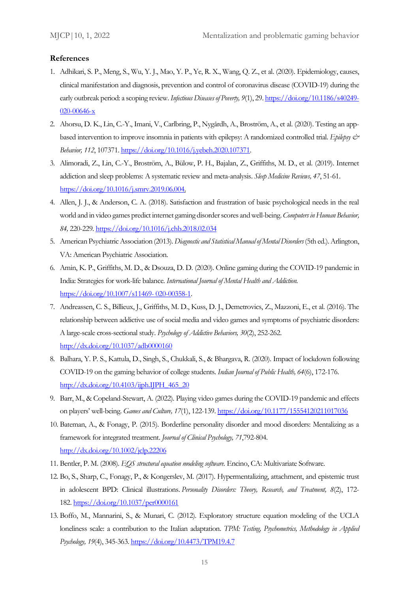#### **References**

- 1. Adhikari, S. P., Meng, S., Wu, Y. J., Mao, Y. P., Ye, R. X., Wang, Q. Z., et al. (2020). Epidemiology, causes, clinical manifestation and diagnosis, prevention and control of coronavirus disease (COVID-19) during the early outbreak period: a scoping review. *Infectious Diseases of Poverty, 9*(1), 29[. https://doi.org/10.1186/s40249-](https://doi.org/10.1186/s40249-020-00646-x) [020-00646-x](https://doi.org/10.1186/s40249-020-00646-x)
- 2. Ahorsu, D. K., Lin, C.-Y., Imani, V., Carlbring, P., Nygårdh, A., Broström, A., et al. (2020). Testing an appbased intervention to improve insomnia in patients with epilepsy: A randomized controlled trial. *Epilepsy & Behavior, 112*, 107371. [https://doi.org/10.1016/j.yebeh.2020.107371.](https://doi.org/10.1016/j.yebeh.2020.107371)
- 3. Alimoradi, Z., Lin, C.-Y., Broström, A., Bülow, P. H., Bajalan, Z., Griffiths, M. D., et al. (2019). Internet addiction and sleep problems: A systematic review and meta-analysis. *Sleep Medicine Reviews, 47*, 51-61. [https://doi.org/10.1016/j.smrv.2019.06.004.](https://doi.org/10.1016/j.smrv.2019.06.004)
- 4. Allen, J. J., & Anderson, C. A. (2018). Satisfaction and frustration of basic psychological needs in the real world and in video games predict internet gaming disorder scores and well-being. *Computers in Human Behavior, 84,* 220-229*.* <https://doi.org/10.1016/j.chb.2018.02.034>
- 5. American Psychiatric Association (2013). *Diagnostic and Statistical Manual of Mental Disorders*(5th ed.). Arlington, VA: American Psychiatric Association.
- 6. Amin, K. P., Griffiths, M. D., & Dsouza, D. D. (2020). Online gaming during the COVID-19 pandemic in India: Strategies for work-life balance. *International Journal of Mental Health and Addiction.* [https://doi.org/10.1007/s11469-](https://doi.org/10.1007/s11469-%20020-00358-1) 020-00358-1.
- 7. Andreassen, C. S., Billieux, J., Griffiths, M. D., Kuss, D. J., Demetrovics, Z., Mazzoni, E., et al. (2016). The relationship between addictive use of social media and video games and symptoms of psychiatric disorders: A large-scale cross-sectional study. *Psychology of Addictive Behaviors, 30*(2), 252-262. <http://dx.doi.org/10.1037/adb0000160>
- 8. Balhara, Y. P. S., Kattula, D., Singh, S., Chukkali, S., & Bhargava, R. (2020). Impact of lockdown following COVID-19 on the gaming behavior of college students. *Indian Journal of Public Health, 64*(6), 172-176. [http://dx.doi.org/10.4103/ijph.IJPH\\_465\\_20](http://dx.doi.org/10.4103/ijph.IJPH_465_20)
- 9. Barr, M., & Copeland-Stewart, A. (2022). Playing video games during the COVID-19 pandemic and effects on players' well-being. *Games and Culture, 17*(1), 122-139[. https://doi.org/10.1177/15554120211017036](https://doi.org/10.1177%2F15554120211017036)
- 10. Bateman, A., & Fonagy, P. (2015). Borderline personality disorder and mood disorders: Mentalizing as a framework for integrated treatment. *Journal of Clinical Psychology, 71*,792-804. <http://dx.doi.org/10.1002/jclp.22206>
- 11. Bentler, P. M. (2008). *EQS structural equation modeling software.* Encino, CA: Multivariate Software.
- 12. Bo, S., Sharp, C., Fonagy, P., & Kongerslev, M. (2017). Hypermentalizing, attachment, and epistemic trust in adolescent BPD: Clinical illustrations. *Personality Disorders: Theory, Research, and Treatment, 8*(2), 172- 182. [https://doi.org/10.1037/per0000161](https://psycnet.apa.org/doi/10.1037/per0000161)
- 13. Boffo, M., Mannarini, S., & Munari, C. (2012). Exploratory structure equation modeling of the UCLA loneliness scale: a contribution to the Italian adaptation. *TPM: Testing, Psychometrics, Methodology in Applied Psychology, 19*(4), 345-363.<https://doi.org/10.4473/TPM19.4.7>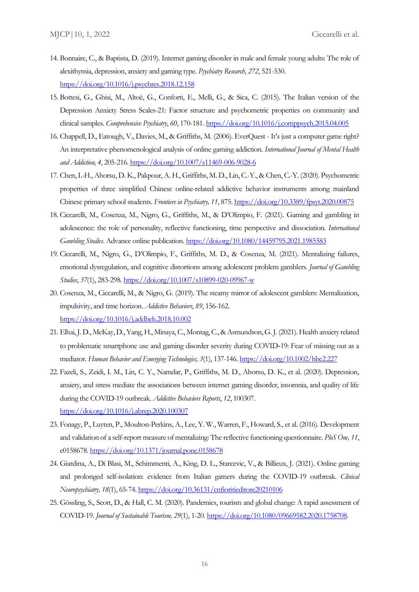- 14. Bonnaire, C., & Baptista, D. (2019). Internet gaming disorder in male and female young adults: The role of alexithymia, depression, anxiety and gaming type. *Psychiatry Research*, *272*, 521-530. <https://doi.org/10.1016/j.psychres.2018.12.158>
- 15. Bottesi, G., Ghisi, M., Altoè, G., Conforti, E., Melli, G., & Sica, C. (2015). The Italian version of the Depression Anxiety Stress Scales-21: Factor structure and psychometric properties on community and clinical samples. *Comprehensive Psychiatry*, *60*, 170-181[. https://doi.org/10.1016/j.comppsych.2015.04.005](https://doi.org/10.1016/j.comppsych.2015.04.005)
- 16. Chappell, D., Eatough, V., Davies, M., & Griffiths, M. (2006). EverQuest It's just a computer game right? An interpretative phenomenological analysis of online gaming addiction. *International Journal of Mental Health and Addiction, 4*, 205-216.<https://doi.org/10.1007/s11469-006-9028-6>
- 17. Chen, I.-H., Ahorsu, D. K., Pakpour, A. H., Griffiths, M. D., Lin, C.-Y., & Chen, C.-Y. (2020). Psychometric properties of three simplified Chinese online-related addictive behavior instruments among mainland Chinese primary school students. *Frontiers in Psychiatry, 11*, 875.<https://doi.org/10.3389/fpsyt.2020.00875>
- 18. Ciccarelli, M., Cosenza, M., Nigro, G., Griffiths, M., & D'Olimpio, F. (2021). Gaming and gambling in adolescence: the role of personality, reflective functioning, time perspective and dissociation. *International Gambling Studies*. Advance online publication*.* <https://doi.org/10.1080/14459795.2021.1985583>
- 19. Ciccarelli, M., Nigro, G., D'Olimpio, F., Griffiths, M. D., & Cosenza, M. (2021). Mentalizing failures, emotional dysregulation, and cognitive distortions among adolescent problem gamblers. *Journal of Gambling Studies*, *37*(1), 283-298[. https://doi.org/10.1007/s10899-020-09967-w](https://doi.org/10.1007/s10899-020-09967-w)
- 20. Cosenza, M., Ciccarelli, M., & Nigro, G. (2019). The steamy mirror of adolescent gamblers: Mentalization, impulsivity, and time horizon. *Addictive Behaviors*, *89*, 156-162. <https://doi.org/10.1016/j.addbeh.2018.10.002>
- 21. Elhai, J. D., McKay, D., Yang, H., Minaya, C., Montag, C., & Asmundson, G. J. (2021). Health anxiety related to problematic smartphone use and gaming disorder severity during COVID‐19: Fear of missing out as a mediator. *Human Behavior and Emerging Technologies, 3*(1), 137-146[. https://doi.org/10.1002/hbe2.227](https://doi.org/10.1002/hbe2.227)
- 22. Fazeli, S., Zeidi, I. M., Lin, C. Y., Namdar, P., Griffiths, M. D., Ahorsu, D. K., et al. (2020). Depression, anxiety, and stress mediate the associations between internet gaming disorder, insomnia, and quality of life during the COVID-19 outbreak. *Addictive Behaviors Reports*, *12*, 100307. <https://doi.org/10.1016/j.abrep.2020.100307>
- 23. Fonagy, P., Luyten, P., Moulton-Perkins, A., Lee, Y. W., Warren, F., Howard, S., et al. (2016). Development and validation of a self-report measure of mentalizing: The reflective functioning questionnaire. *PloS One, 11*, e0158678.<https://doi.org/10.1371/journal.pone.0158678>
- 24. Giardina, A., Di Blasi, M., Schimmenti, A., King, D. L., Starcevic, V., & Billieux, J. (2021). Online gaming and prolonged self-isolation: evidence from Italian gamers during the COVID-19 outbreak. *Clinical Neuropsychiatry, 18*(1), 65-74[. https://doi.org/10.36131/cnfioritieditore20210106](https://doi.org/10.36131/cnfioritieditore20210106)
- 25. Gössling, S., Scott, D., & Hall, C. M. (2020). Pandemics, tourism and global change: A rapid assessment of COVID-19. *Journal of Sustainable Tourism, 29*(1), 1-20. [https://doi.org/10.1080/09669582.2020.1758708.](https://doi.org/10.1080/09669582.2020.1758708)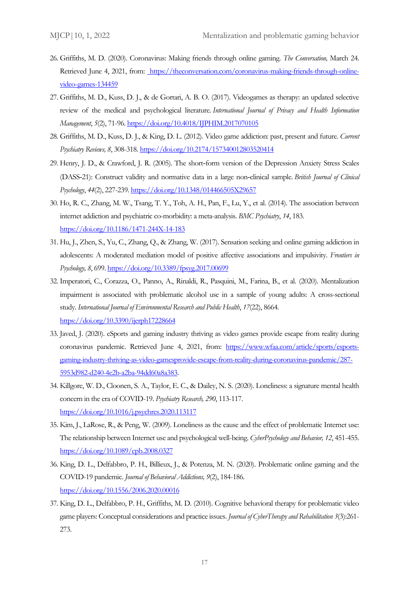- 26. Griffiths, M. D. (2020). Coronavirus: Making friends through online gaming. *The Conversation,* March 24. Retrieved June 4, 2021, from: [https://theconversation.com/coronavirus-making-friends-through-online](https://theconversation.com/coronavirus-making-friends-through-online-video-games-134459)[video-games-134459](https://theconversation.com/coronavirus-making-friends-through-online-video-games-134459)
- 27. Griffiths, M. D., Kuss, D. J., & de Gortari, A. B. O. (2017). Videogames as therapy: an updated selective review of the medical and psychological literature. *International Journal of Privacy and Health Information Management*, *5*(2), 71-96.<https://doi.org/10.4018/IJPHIM.2017070105>
- 28. Griffiths, M. D., Kuss, D. J., & King, D. L. (2012). Video game addiction: past, present and future. *Current Psychiatry Reviews, 8*, 308-318.<https://doi.org/10.2174/157340012803520414>
- 29. Henry, J. D., & Crawford, J. R. (2005). The short‐form version of the Depression Anxiety Stress Scales (DASS‐21): Construct validity and normative data in a large non‐clinical sample. *British Journal of Clinical Psychology*, *44*(2), 227-239.<https://doi.org/10.1348/014466505X29657>
- 30. Ho, R. C., Zhang, M. W., Tsang, T. Y., Toh, A. H., Pan, F., Lu, Y., et al. (2014). The association between internet addiction and psychiatric co-morbidity: a meta-analysis. *BMC Psychiatry*, *14*, 183. <https://doi.org/10.1186/1471-244X-14-183>
- 31. Hu, J., Zhen, S., Yu, C., Zhang, Q., & Zhang, W. (2017). Sensation seeking and online gaming addiction in adolescents: A moderated mediation model of positive affective associations and impulsivity. *Frontiers in Psychology, 8*, 699.<https://doi.org/10.3389/fpsyg.2017.00699>
- 32. Imperatori, C., Corazza, O., Panno, A., Rinaldi, R., Pasquini, M., Farina, B., et al. (2020). Mentalization impairment is associated with problematic alcohol use in a sample of young adults: A cross-sectional study. *International Journal of Environmental Research and Public Health*, *17*(22), 8664. <https://doi.org/10.3390/ijerph17228664>
- 33. Javed, J. (2020). eSports and gaming industry thriving as video games provide escape from reality during coronavirus pandemic. Retrieved June 4, 2021, from: [https://www.wfaa.com/article/sports/esports](https://www.wfaa.com/article/sports/esports-gaming-industry-thriving-as-video-gamesprovide-escape-from-reality-during-coronavirus-pandemic/287-5953d982-d240-4e2b-a2ba-94dd60a8a383)[gaming-industry-thriving-as-video-gamesprovide-escape-from-reality-during-coronavirus-pandemic/287-](https://www.wfaa.com/article/sports/esports-gaming-industry-thriving-as-video-gamesprovide-escape-from-reality-during-coronavirus-pandemic/287-5953d982-d240-4e2b-a2ba-94dd60a8a383) [5953d982-d240-4e2b-a2ba-94dd60a8a383.](https://www.wfaa.com/article/sports/esports-gaming-industry-thriving-as-video-gamesprovide-escape-from-reality-during-coronavirus-pandemic/287-5953d982-d240-4e2b-a2ba-94dd60a8a383)
- 34. Killgore, W. D., Cloonen, S. A., Taylor, E. C., & Dailey, N. S. (2020). Loneliness: a signature mental health concern in the era of COVID-19. *Psychiatry Research, 290*, 113-117. <https://doi.org/10.1016/j.psychres.2020.113117>
- 35. Kim, J., LaRose, R., & Peng, W. (2009). Loneliness as the cause and the effect of problematic Internet use: The relationship between Internet use and psychological well-being. *CyberPsychology and Behavior, 12*, 451-455. <https://doi.org/10.1089/cpb.2008.0327>
- 36. King, D. L., Delfabbro, P. H., Billieux, J., & Potenza, M. N. (2020). Problematic online gaming and the COVID-19 pandemic. *Journal of Behavioral Addictions, 9*(2), 184-186. <https://doi.org/10.1556/2006.2020.00016>
- 37. King, D. L., Delfabbro, P. H., Griffiths, M. D. (2010). Cognitive behavioral therapy for problematic video game players: Conceptual considerations and practice issues. *Journal of CyberTherapy and Rehabilitation 3*(3):261- 273.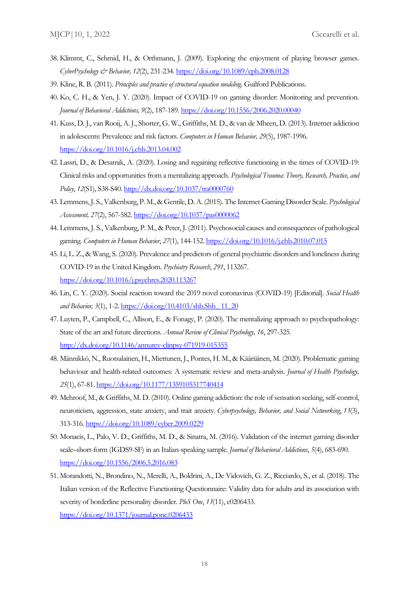- 38. Klimmt, C., Schmid, H., & Orthmann, J. (2009). Exploring the enjoyment of playing browser games. *CyberPsychology & Behavior, 12*(2), 231-234[. https://doi.org/10.1089/cpb.2008.0128](https://doi.org/10.1089/cpb.2008.0128)
- 39. Kline, R. B. (2011). *Principles and practice of structural equation modeling.* Guilford Publications.
- 40. Ko, C. H., & Yen, J. Y. (2020). Impact of COVID-19 on gaming disorder: Monitoring and prevention. *Journal of Behavioral Addictions, 9*(2), 187-189[. https://doi.org/10.1556/2006.2020.00040](https://doi.org/10.1556/2006.2020.00040)
- 41. Kuss, D. J., van Rooij, A. J., Shorter, G. W., Griffiths, M. D., & van de Mheen, D. (2013). Internet addiction in adolescents: Prevalence and risk factors. *Computers in Human Behavior, 29*(5), 1987-1996. <https://doi.org/10.1016/j.chb.2013.04.002>
- 42. Lassri, D., & Desatnik, A. (2020). Losing and regaining reflective functioning in the times of COVID-19: Clinical risks and opportunities from a mentalizing approach. *Psychological Trauma: Theory, Research, Practice, and Policy*, *12*(S1), S38-S40.<http://dx.doi.org/10.1037/tra0000760>
- 43. Lemmens, J. S., Valkenburg, P. M., & Gentile, D. A. (2015). The Internet Gaming Disorder Scale. *Psychological Assessment, 27*(2), 567-582[. https://doi.org/10.1037/pas0000062](https://doi.org/10.1037/pas0000062)
- 44. Lemmens, J. S., Valkenburg, P. M., & Peter, J. (2011). Psychosocial causes and consequences of pathological gaming. *Computers in Human Behavior*, *27*(1), 144-152.<https://doi.org/10.1016/j.chb.2010.07.015>
- 45. Li, L. Z., & Wang, S. (2020). Prevalence and predictors of general psychiatric disorders and loneliness during COVID-19 in the United Kingdom. *Psychiatry Research*, *291*, 113267. <https://doi.org/10.1016/j.psychres.2020.113267>
- 46. Lin, C. Y. (2020). Social reaction toward the 2019 novel coronavirus (COVID-19) [Editorial]. *Social Health and Behavior, 3*(1), 1-2. [https://doi.org/10.4103/shb.Shb\\_ 11\\_20](https://doi.org/10.4103/shb.Shb_%2011_20)
- 47. Luyten, P., Campbell, C., Allison, E., & Fonagy, P. (2020). The mentalizing approach to psychopathology: State of the art and future directions. *Annual Review of Clinical Psychology, 16*, 297-325. <http://dx.doi.org/10.1146/annurev-clinpsy-071919-015355>
- 48. Männikkö, N., Ruotsalainen, H., Miettunen, J., Pontes, H. M., & Kääriäinen, M. (2020). Problematic gaming behaviour and health-related outcomes: A systematic review and meta-analysis. *Journal of Health Psychology, 25*(1), 67-81.<https://doi.org/10.1177/1359105317740414>
- 49. Mehroof, M., & Griffiths, M. D. (2010). Online gaming addiction: the role of sensation seeking, self-control, neuroticism, aggression, state anxiety, and trait anxiety. *Cyberpsychology, Behavior, and Social Networking*, *13*(3), 313-316.<https://doi.org/10.1089/cyber.2009.0229>
- 50. Monacis, L., Palo, V. D., Griffiths, M. D., & Sinatra, M. (2016). Validation of the internet gaming disorder scale–short-form (IGDS9-SF) in an Italian-speaking sample. *Journal of Behavioral Addictions*, *5*(4), 683-690. <https://doi.org/10.1556/2006.5.2016.083>
- 51. Morandotti, N., Brondino, N., Merelli, A., Boldrini, A., De Vidovich, G. Z., Ricciardo, S., et al. (2018). The Italian version of the Reflective Functioning Questionnaire: Validity data for adults and its association with severity of borderline personality disorder. *PloS One*, *13*(11), e0206433. <https://doi.org/10.1371/journal.pone.0206433>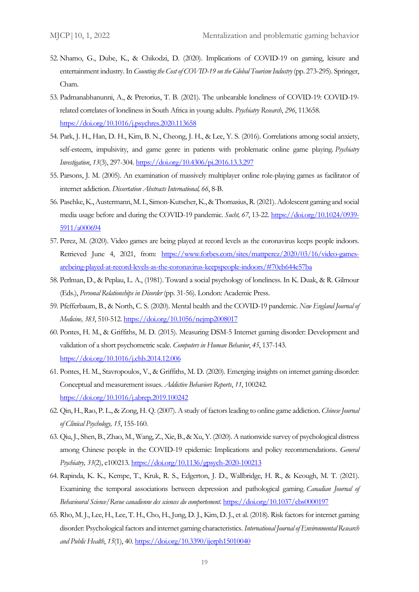- 52. Nhamo, G., Dube, K., & Chikodzi, D. (2020). Implications of COVID-19 on gaming, leisure and entertainment industry. In *Counting the Cost of COVID-19 on the Global Tourism Industry* (pp. 273-295). Springer, Cham.
- 53. Padmanabhanunni, A., & Pretorius, T. B. (2021). The unbearable loneliness of COVID-19: COVID-19 related correlates of loneliness in South Africa in young adults. *Psychiatry Research*, *296*, 113658. <https://doi.org/10.1016/j.psychres.2020.113658>
- 54. Park, J. H., Han, D. H., Kim, B. N., Cheong, J. H., & Lee, Y. S. (2016). Correlations among social anxiety, self-esteem, impulsivity, and game genre in patients with problematic online game playing. *Psychiatry Investigation*, *13*(3), 297-304.<https://doi.org/10.4306/pi.2016.13.3.297>
- 55. Parsons, J. M. (2005). An examination of massively multiplayer online role-playing games as facilitator of internet addiction. *Dissertation Abstracts International, 66*, 8-B.
- 56. Paschke, K., Austermann, M. I., Simon-Kutscher, K., & Thomasius, R. (2021). Adolescent gaming and social media usage before and during the COVID-19 pandemic. *Sucht, 67*, 13-22. [https://doi.org/10.1024/0939-](https://doi.org/10.1024/0939-5911/a000694) [5911/a000694](https://doi.org/10.1024/0939-5911/a000694)
- 57. Perez, M. (2020). Video games are being played at record levels as the coronavirus keeps people indoors. Retrieved June 4, 2021, from: [https://www.forbes.com/sites/mattperez/2020/03/16/video-games](https://www.forbes.com/sites/mattperez/2020/03/16/video-games-arebeing-played-at-record-levels-as-the-coronavirus-keepspeople-indoors/#70eb644e57ba)[arebeing-played-at-record-levels-as-the-coronavirus-keepspeople-indoors/#70eb644e57ba](https://www.forbes.com/sites/mattperez/2020/03/16/video-games-arebeing-played-at-record-levels-as-the-coronavirus-keepspeople-indoors/#70eb644e57ba)
- 58. Perlman, D., & Peplau, L. A., (1981). Toward a social psychology of loneliness. In K. Duak, & R. Gilmour (Eds.), *Personal Relationships in Disorder* (pp. 31-56). London: Academic Press.
- 59. Pfefferbaum, B., & North, C. S. (2020). Mental health and the COVID-19 pandemic. *New England Journal of Medicine, 383*, 510-512.<https://doi.org/10.1056/nejmp2008017>
- 60. Pontes, H. M., & Griffiths, M. D. (2015). Measuring DSM-5 Internet gaming disorder: Development and validation of a short psychometric scale. *Computers in Human Behavior*, *45*, 137-143. <https://doi.org/10.1016/j.chb.2014.12.006>
- 61. Pontes, H. M., Stavropoulos, V., & Griffiths, M. D. (2020). Emerging insights on internet gaming disorder: Conceptual and measurement issues. *Addictive Behaviors Reports*, *11*, 100242. <https://doi.org/10.1016/j.abrep.2019.100242>
- 62. Qin, H., Rao, P. L., & Zong, H. Q. (2007). A study of factors leading to online game addiction. *Chinese Journal of Clinical Psychology, 15*, 155-160.
- 63. Qiu, J., Shen, B., Zhao, M., Wang, Z., Xie, B., & Xu, Y. (2020). A nationwide survey of psychological distress among Chinese people in the COVID-19 epidemic: Implications and policy recommendations. *General Psychiatry, 33*(2), e100213[. https://doi.org/10.1136/gpsych-2020-100213](https://doi.org/10.1136/gpsych-2020-100213)
- 64. Rapinda, K. K., Kempe, T., Kruk, R. S., Edgerton, J. D., Wallbridge, H. R., & Keough, M. T. (2021). Examining the temporal associations between depression and pathological gaming. *Canadian Journal of Behavioural Science/Revue canadienne des sciences du comportement*. [https://doi.org/10.1037/cbs0000197](https://psycnet.apa.org/doi/10.1037/cbs0000197)
- 65. Rho, M. J., Lee, H., Lee, T. H., Cho, H., Jung, D. J., Kim, D. J., et al. (2018). Risk factors for internet gaming disorder: Psychological factors and internet gaming characteristics. *International Journal of Environmental Research and Public Health*, *15*(1), 40[. https://doi.org/10.3390/ijerph15010040](https://doi.org/10.3390/ijerph15010040)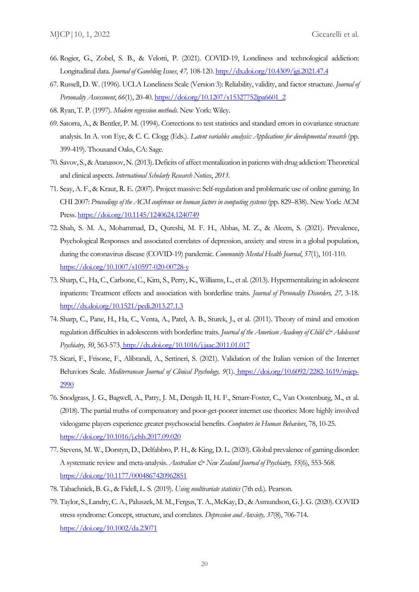- 66. Rogier, G., Zobel, S. B., & Velotti, P. (2021). COVID-19, Loneliness and technological addiction: Longitudinal data. *Journal of Gambling Issues*, *47,* 108-120[. http://dx.doi.org/10.4309/jgi.2021.47.4](http://dx.doi.org/10.4309/jgi.2021.47.4)
- 67. Russell, D. W. (1996). UCLA Loneliness Scale (Version 3): Reliability, validity, and factor structure. *Journal of Personality Assessment*, *66*(1), 20-40. [https://doi.org/10.1207/s15327752jpa6601\\_2](https://doi.org/10.1207/s15327752jpa6601_2)
- 68. Ryan, T. P. (1997). *Modern regression methods*. New York: Wiley.
- 69. Satorra, A., & Bentler, P. M. (1994). Corrections to test statistics and standard errors in covariance structure analysis. In A. von Eye, & C. C. Clogg (Eds.). *Latent variables analysis: Applications for developmental research* (pp. 399-419). Thousand Oaks, CA: Sage.
- 70. Savov, S., & Atanassov, N.(2013). Deficits of affect mentalization in patients with drug addiction: Theoretical and clinical aspects. *International Scholarly Research Notices*, *2013*.
- 71. Seay, A. F., & Kraut, R. E. (2007). Project massive: Self-regulation and problematic use of online gaming. In CHI 2007: *Proceedings of the ACM conference on human factors in computing systems* (pp. 829–838). New York: ACM Press[. https://doi.org/10.1145/1240624.1240749](https://doi.org/10.1145/1240624.1240749)
- 72. Shah, S. M. A., Mohammad, D., Qureshi, M. F. H., Abbas, M. Z., & Aleem, S. (2021). Prevalence, Psychological Responses and associated correlates of depression, anxiety and stress in a global population, during the coronavirus disease (COVID-19) pandemic. *Community Mental Health Journal*, *57*(1), 101-110. <https://doi.org/10.1007/s10597-020-00728-y>
- 73. Sharp, C., Ha, C., Carbone, C., Kim, S., Perry, K., Williams, L., et al. (2013). Hypermentalizing in adolescent inpatients: Treatment effects and association with borderline traits. *Journal of Personality Disorders, 27,* 3-18. <http://dx.doi.org/10.1521/pedi.2013.27.1.3>
- 74. Sharp, C., Pane, H., Ha, C., Venta, A., Patel, A. B., Sturek, J., et al. (2011). Theory of mind and emotion regulation difficulties in adolescents with borderline traits. *Journal of the American Academy of Child & Adolescent Psychiatry, 50*, 563-573. <http://dx.doi.org/10.1016/j.jaac.2011.01.017>
- 75. Sicari, F., Frisone, F., Alibrandi, A., Settineri, S. (2021). Validation of the Italian version of the Internet Behaviors Scale. *Mediterranean Journal of Clinical Psychology, 9*(1). [https://doi.org/10.6092/2282-1619/mjcp-](https://doi.org/10.6092/2282-1619/mjcp-2990)[2990](https://doi.org/10.6092/2282-1619/mjcp-2990)
- 76. Snodgrass, J. G., Bagwell, A., Patry, J. M., Dengah II, H. F., Smarr-Foster, C., Van Oostenburg, M., et al. (2018). The partial truths of compensatory and poor-get-poorer internet use theories: More highly involved videogame players experience greater psychosocial benefits. *Computers in Human Behaviors*, 78, 10-25. <https://doi.org/10.1016/j.chb.2017.09.020>
- 77. Stevens, M. W., Dorstyn, D., Delfabbro, P. H., & King, D. L. (2020). Global prevalence of gaming disorder: A systematic review and meta-analysis. *Australian & New Zealand Journal of Psychiatry*, 55(6), 553-568. <https://doi.org/10.1177/0004867420962851>
- 78. Tabachnick, B. G., & Fidell, L. S. (2019). *Using multivariate statistics* (7th ed.). Pearson.
- 79. Taylor, S., Landry, C. A., Paluszek, M. M., Fergus, T. A., McKay, D., & Asmundson, G. J. G. (2020). COVID stress syndrome: Concept, structure, and correlates. *Depression and Anxiety, 37*(8), 706-714. <https://doi.org/10.1002/da.23071>